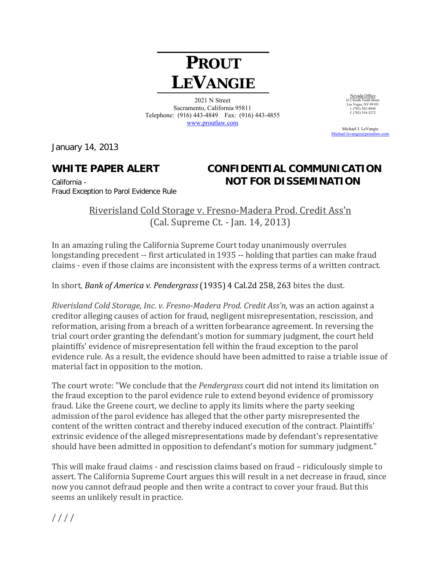## **PROUT LEVANGIE**

2021 N Street Sacramento, California 95811 Telephone: (916) 443-4849 Fax: (916) 443-4855 www.proutlaw.com

Michael J. LeVangie

January 14, 2013

## **WHITE PAPER ALERT CONFIDENTIAL COMMUNICATION**  California - **NOT FOR DISSEMINATION**

Nevada Office 612 South Tenth Street Las Vegas, NV 89101 t. (702) 562-4044  $f. (702) 302 - 4044$ <br>f. (702) 554-3272

Michael.levangie@proutlay

Fraud Exception to Parol Evidence Rule

Riverisland Cold Storage v. Fresno-Madera Prod. Credit Ass'n (Cal. Supreme Ct. - Jan. 14, 2013)

In an amazing ruling the California Supreme Court today unanimously overrules longstanding precedent -- first articulated in 1935 -- holding that parties can make fraud claims - even if those claims are inconsistent with the express terms of a written contract.

In short, *Bank of America v. Pendergrass* (1935) 4 Cal.2d 258, 263 bites the dust.

*Riverisland Cold Storage, Inc. v. Fresno‐Madera Prod. Credit Ass'n,* was an action against a creditor alleging causes of action for fraud, negligent misrepresentation, rescission, and reformation, arising from a breach of a written forbearance agreement. In reversing the trial court order granting the defendant's motion for summary judgment, the court held plaintiffs' evidence of misrepresentation fell within the fraud exception to the parol evidence rule. As a result, the evidence should have been admitted to raise a triable issue of material fact in opposition to the motion.

The court wrote: "We conclude that the *Pendergrass* court did not intend its limitation on the fraud exception to the parol evidence rule to extend beyond evidence of promissory fraud. Like the Greene court, we decline to apply its limits where the party seeking admission of the parol evidence has alleged that the other party misrepresented the content of the written contract and thereby induced execution of the contract. Plaintiffs' extrinsic evidence of the alleged misrepresentations made by defendant's representative should have been admitted in opposition to defendant's motion for summary judgment."

This will make fraud claims - and rescission claims based on fraud – ridiculously simple to assert. The California Supreme Court argues this will result in a net decrease in fraud, since now you cannot defraud people and then write a contract to cover your fraud. But this seems an unlikely result in practice.

 $/$  $/$  $/$